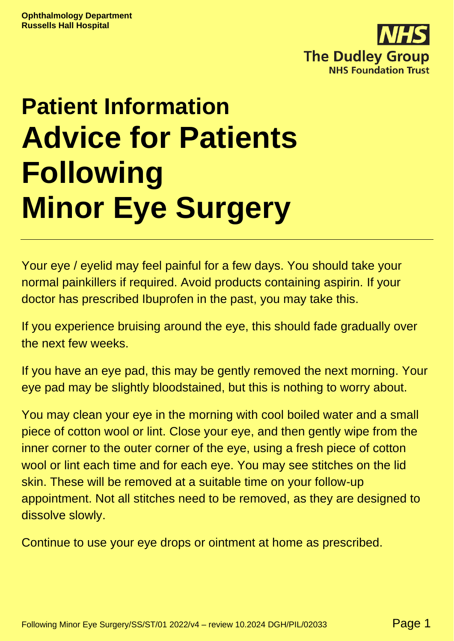

# **Patient Information Advice for Patients Following Minor Eye Surgery**

Your eye / eyelid may feel painful for a few days. You should take your normal painkillers if required. Avoid products containing aspirin. If your doctor has prescribed Ibuprofen in the past, you may take this.

If you experience bruising around the eye, this should fade gradually over the next few weeks.

If you have an eye pad, this may be gently removed the next morning. Your eye pad may be slightly bloodstained, but this is nothing to worry about.

You may clean your eye in the morning with cool boiled water and a small piece of cotton wool or lint. Close your eye, and then gently wipe from the inner corner to the outer corner of the eye, using a fresh piece of cotton wool or lint each time and for each eye. You may see stitches on the lid skin. These will be removed at a suitable time on your follow-up appointment. Not all stitches need to be removed, as they are designed to dissolve slowly.

Continue to use your eye drops or ointment at home as prescribed.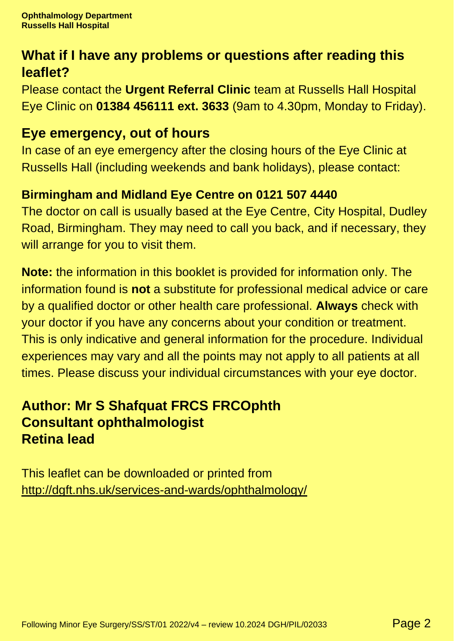## **What if I have any problems or questions after reading this leaflet?**

Please contact the **Urgent Referral Clinic** team at Russells Hall Hospital Eye Clinic on **01384 456111 ext. 3633** (9am to 4.30pm, Monday to Friday).

#### **Eye emergency, out of hours**

In case of an eye emergency after the closing hours of the Eye Clinic at Russells Hall (including weekends and bank holidays), please contact:

#### **Birmingham and Midland Eye Centre on 0121 507 4440**

The doctor on call is usually based at the Eye Centre, City Hospital, Dudley Road, Birmingham. They may need to call you back, and if necessary, they will arrange for you to visit them.

**Note:** the information in this booklet is provided for information only. The information found is **not** a substitute for professional medical advice or care by a qualified doctor or other health care professional. **Always** check with your doctor if you have any concerns about your condition or treatment. This is only indicative and general information for the procedure. Individual experiences may vary and all the points may not apply to all patients at all times. Please discuss your individual circumstances with your eye doctor.

### **Author: Mr S Shafquat FRCS FRCOphth Consultant ophthalmologist Retina lead**

This leaflet can be downloaded or printed from <http://dgft.nhs.uk/services-and-wards/ophthalmology/>